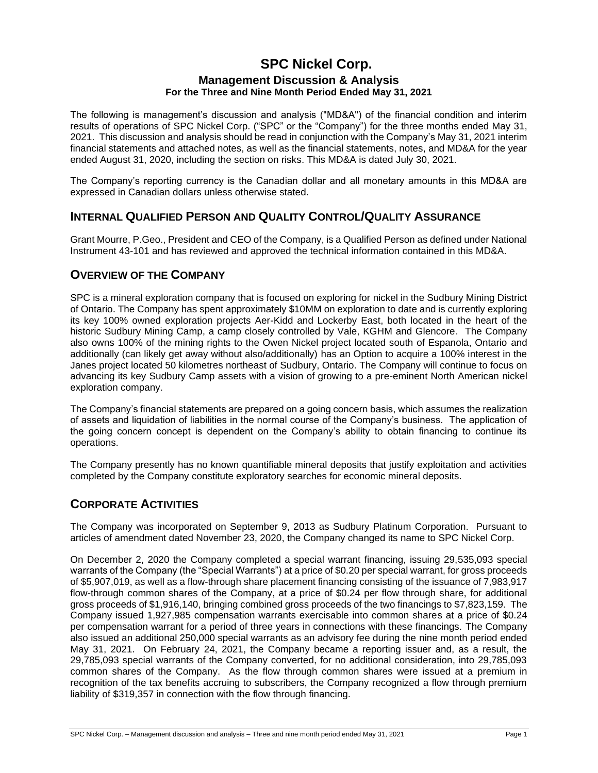## **SPC Nickel Corp. Management Discussion & Analysis For the Three and Nine Month Period Ended May 31, 2021**

The following is management's discussion and analysis ("MD&A") of the financial condition and interim results of operations of SPC Nickel Corp. ("SPC" or the "Company") for the three months ended May 31, 2021. This discussion and analysis should be read in conjunction with the Company's May 31, 2021 interim financial statements and attached notes, as well as the financial statements, notes, and MD&A for the year ended August 31, 2020, including the section on risks. This MD&A is dated July 30, 2021.

The Company's reporting currency is the Canadian dollar and all monetary amounts in this MD&A are expressed in Canadian dollars unless otherwise stated.

### **INTERNAL QUALIFIED PERSON AND QUALITY CONTROL/QUALITY ASSURANCE**

Grant Mourre, P.Geo., President and CEO of the Company, is a Qualified Person as defined under National Instrument 43-101 and has reviewed and approved the technical information contained in this MD&A.

### **OVERVIEW OF THE COMPANY**

SPC is a mineral exploration company that is focused on exploring for nickel in the Sudbury Mining District of Ontario. The Company has spent approximately \$10MM on exploration to date and is currently exploring its key 100% owned exploration projects Aer-Kidd and Lockerby East, both located in the heart of the historic Sudbury Mining Camp, a camp closely controlled by Vale, KGHM and Glencore. The Company also owns 100% of the mining rights to the Owen Nickel project located south of Espanola, Ontario and additionally (can likely get away without also/additionally) has an Option to acquire a 100% interest in the Janes project located 50 kilometres northeast of Sudbury, Ontario. The Company will continue to focus on advancing its key Sudbury Camp assets with a vision of growing to a pre-eminent North American nickel exploration company.

The Company's financial statements are prepared on a going concern basis, which assumes the realization of assets and liquidation of liabilities in the normal course of the Company's business. The application of the going concern concept is dependent on the Company's ability to obtain financing to continue its operations.

The Company presently has no known quantifiable mineral deposits that justify exploitation and activities completed by the Company constitute exploratory searches for economic mineral deposits.

# **CORPORATE ACTIVITIES**

The Company was incorporated on September 9, 2013 as Sudbury Platinum Corporation. Pursuant to articles of amendment dated November 23, 2020, the Company changed its name to SPC Nickel Corp.

On December 2, 2020 the Company completed a special warrant financing, issuing 29,535,093 special warrants of the Company (the "Special Warrants") at a price of \$0.20 per special warrant, for gross proceeds of \$5,907,019, as well as a flow-through share placement financing consisting of the issuance of 7,983,917 flow-through common shares of the Company, at a price of \$0.24 per flow through share, for additional gross proceeds of \$1,916,140, bringing combined gross proceeds of the two financings to \$7,823,159. The Company issued 1,927,985 compensation warrants exercisable into common shares at a price of \$0.24 per compensation warrant for a period of three years in connections with these financings. The Company also issued an additional 250,000 special warrants as an advisory fee during the nine month period ended May 31, 2021. On February 24, 2021, the Company became a reporting issuer and, as a result, the 29,785,093 special warrants of the Company converted, for no additional consideration, into 29,785,093 common shares of the Company. As the flow through common shares were issued at a premium in recognition of the tax benefits accruing to subscribers, the Company recognized a flow through premium liability of \$319,357 in connection with the flow through financing.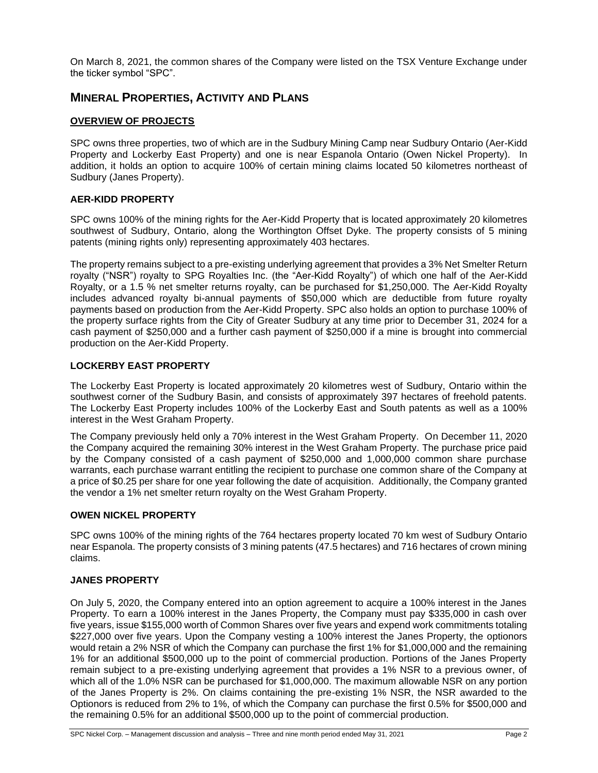On March 8, 2021, the common shares of the Company were listed on the TSX Venture Exchange under the ticker symbol "SPC".

### **MINERAL PROPERTIES, ACTIVITY AND PLANS**

#### **OVERVIEW OF PROJECTS**

SPC owns three properties, two of which are in the Sudbury Mining Camp near Sudbury Ontario (Aer-Kidd Property and Lockerby East Property) and one is near Espanola Ontario (Owen Nickel Property). In addition, it holds an option to acquire 100% of certain mining claims located 50 kilometres northeast of Sudbury (Janes Property).

#### **AER-KIDD PROPERTY**

SPC owns 100% of the mining rights for the Aer-Kidd Property that is located approximately 20 kilometres southwest of Sudbury, Ontario, along the Worthington Offset Dyke. The property consists of 5 mining patents (mining rights only) representing approximately 403 hectares.

The property remains subject to a pre-existing underlying agreement that provides a 3% Net Smelter Return royalty ("NSR") royalty to SPG Royalties Inc. (the "Aer-Kidd Royalty") of which one half of the Aer-Kidd Royalty, or a 1.5 % net smelter returns royalty, can be purchased for \$1,250,000. The Aer-Kidd Royalty includes advanced royalty bi-annual payments of \$50,000 which are deductible from future royalty payments based on production from the Aer-Kidd Property. SPC also holds an option to purchase 100% of the property surface rights from the City of Greater Sudbury at any time prior to December 31, 2024 for a cash payment of \$250,000 and a further cash payment of \$250,000 if a mine is brought into commercial production on the Aer-Kidd Property.

#### **LOCKERBY EAST PROPERTY**

The Lockerby East Property is located approximately 20 kilometres west of Sudbury, Ontario within the southwest corner of the Sudbury Basin, and consists of approximately 397 hectares of freehold patents. The Lockerby East Property includes 100% of the Lockerby East and South patents as well as a 100% interest in the West Graham Property.

The Company previously held only a 70% interest in the West Graham Property. On December 11, 2020 the Company acquired the remaining 30% interest in the West Graham Property. The purchase price paid by the Company consisted of a cash payment of \$250,000 and 1,000,000 common share purchase warrants, each purchase warrant entitling the recipient to purchase one common share of the Company at a price of \$0.25 per share for one year following the date of acquisition. Additionally, the Company granted the vendor a 1% net smelter return royalty on the West Graham Property.

#### **OWEN NICKEL PROPERTY**

SPC owns 100% of the mining rights of the 764 hectares property located 70 km west of Sudbury Ontario near Espanola. The property consists of 3 mining patents (47.5 hectares) and 716 hectares of crown mining claims.

#### **JANES PROPERTY**

On July 5, 2020, the Company entered into an option agreement to acquire a 100% interest in the Janes Property. To earn a 100% interest in the Janes Property, the Company must pay \$335,000 in cash over five years, issue \$155,000 worth of Common Shares over five years and expend work commitments totaling \$227,000 over five years. Upon the Company vesting a 100% interest the Janes Property, the optionors would retain a 2% NSR of which the Company can purchase the first 1% for \$1,000,000 and the remaining 1% for an additional \$500,000 up to the point of commercial production. Portions of the Janes Property remain subject to a pre-existing underlying agreement that provides a 1% NSR to a previous owner, of which all of the 1.0% NSR can be purchased for \$1,000,000. The maximum allowable NSR on any portion of the Janes Property is 2%. On claims containing the pre-existing 1% NSR, the NSR awarded to the Optionors is reduced from 2% to 1%, of which the Company can purchase the first 0.5% for \$500,000 and the remaining 0.5% for an additional \$500,000 up to the point of commercial production.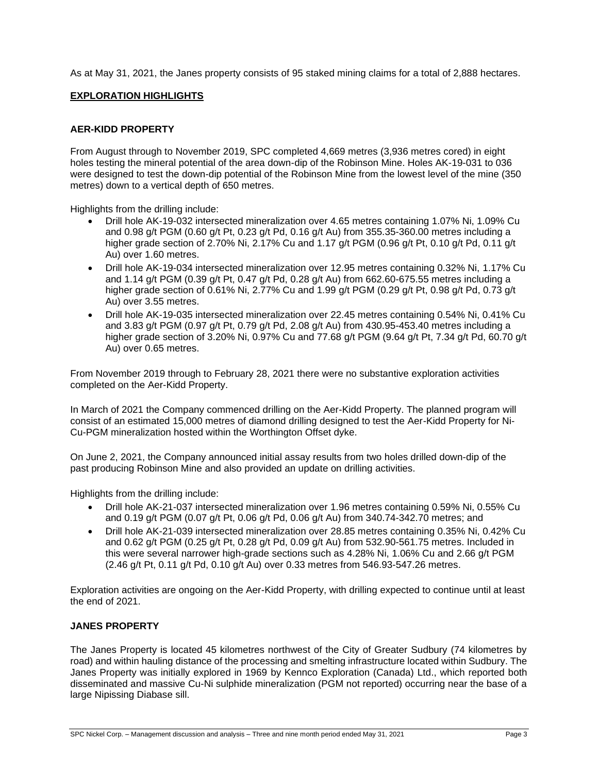As at May 31, 2021, the Janes property consists of 95 staked mining claims for a total of 2,888 hectares.

#### **EXPLORATION HIGHLIGHTS**

#### **AER-KIDD PROPERTY**

From August through to November 2019, SPC completed 4,669 metres (3,936 metres cored) in eight holes testing the mineral potential of the area down-dip of the Robinson Mine. Holes AK-19-031 to 036 were designed to test the down-dip potential of the Robinson Mine from the lowest level of the mine (350 metres) down to a vertical depth of 650 metres.

Highlights from the drilling include:

- Drill hole AK-19-032 intersected mineralization over 4.65 metres containing 1.07% Ni, 1.09% Cu and 0.98 g/t PGM (0.60 g/t Pt, 0.23 g/t Pd, 0.16 g/t Au) from 355.35-360.00 metres including a higher grade section of 2.70% Ni, 2.17% Cu and 1.17 g/t PGM (0.96 g/t Pt, 0.10 g/t Pd, 0.11 g/t Au) over 1.60 metres.
- Drill hole AK-19-034 intersected mineralization over 12.95 metres containing 0.32% Ni, 1.17% Cu and 1.14 g/t PGM (0.39 g/t Pt, 0.47 g/t Pd, 0.28 g/t Au) from 662.60-675.55 metres including a higher grade section of 0.61% Ni, 2.77% Cu and 1.99 g/t PGM (0.29 g/t Pt, 0.98 g/t Pd, 0.73 g/t Au) over 3.55 metres.
- Drill hole AK-19-035 intersected mineralization over 22.45 metres containing 0.54% Ni, 0.41% Cu and 3.83 g/t PGM (0.97 g/t Pt, 0.79 g/t Pd, 2.08 g/t Au) from 430.95-453.40 metres including a higher grade section of 3.20% Ni, 0.97% Cu and 77.68 g/t PGM (9.64 g/t Pt, 7.34 g/t Pd, 60.70 g/t Au) over 0.65 metres.

From November 2019 through to February 28, 2021 there were no substantive exploration activities completed on the Aer-Kidd Property.

In March of 2021 the Company commenced drilling on the Aer-Kidd Property. The planned program will consist of an estimated 15,000 metres of diamond drilling designed to test the Aer-Kidd Property for Ni-Cu-PGM mineralization hosted within the Worthington Offset dyke.

On June 2, 2021, the Company announced initial assay results from two holes drilled down-dip of the past producing Robinson Mine and also provided an update on drilling activities.

Highlights from the drilling include:

- Drill hole AK-21-037 intersected mineralization over 1.96 metres containing 0.59% Ni, 0.55% Cu and 0.19 g/t PGM (0.07 g/t Pt, 0.06 g/t Pd, 0.06 g/t Au) from 340.74-342.70 metres; and
- Drill hole AK-21-039 intersected mineralization over 28.85 metres containing 0.35% Ni, 0.42% Cu and 0.62 g/t PGM (0.25 g/t Pt, 0.28 g/t Pd, 0.09 g/t Au) from 532.90-561.75 metres. Included in this were several narrower high-grade sections such as 4.28% Ni, 1.06% Cu and 2.66 g/t PGM (2.46 g/t Pt, 0.11 g/t Pd, 0.10 g/t Au) over 0.33 metres from 546.93-547.26 metres.

Exploration activities are ongoing on the Aer-Kidd Property, with drilling expected to continue until at least the end of 2021.

#### **JANES PROPERTY**

The Janes Property is located 45 kilometres northwest of the City of Greater Sudbury (74 kilometres by road) and within hauling distance of the processing and smelting infrastructure located within Sudbury. The Janes Property was initially explored in 1969 by Kennco Exploration (Canada) Ltd., which reported both disseminated and massive Cu-Ni sulphide mineralization (PGM not reported) occurring near the base of a large Nipissing Diabase sill.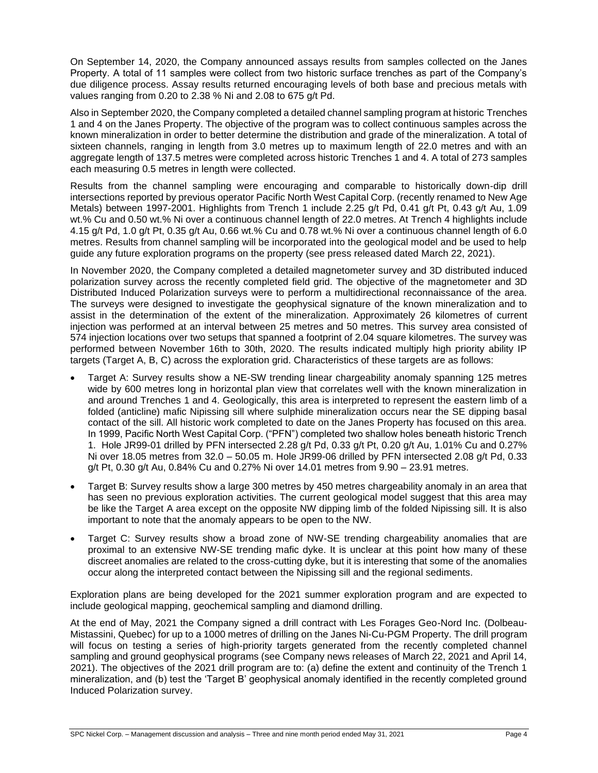On September 14, 2020, the Company announced assays results from samples collected on the Janes Property. A total of 11 samples were collect from two historic surface trenches as part of the Company's due diligence process. Assay results returned encouraging levels of both base and precious metals with values ranging from 0.20 to 2.38 % Ni and 2.08 to 675 g/t Pd.

Also in September 2020, the Company completed a detailed channel sampling program at historic Trenches 1 and 4 on the Janes Property. The objective of the program was to collect continuous samples across the known mineralization in order to better determine the distribution and grade of the mineralization. A total of sixteen channels, ranging in length from 3.0 metres up to maximum length of 22.0 metres and with an aggregate length of 137.5 metres were completed across historic Trenches 1 and 4. A total of 273 samples each measuring 0.5 metres in length were collected.

Results from the channel sampling were encouraging and comparable to historically down-dip drill intersections reported by previous operator Pacific North West Capital Corp. (recently renamed to New Age Metals) between 1997-2001. Highlights from Trench 1 include 2.25 g/t Pd, 0.41 g/t Pt, 0.43 g/t Au, 1.09 wt.% Cu and 0.50 wt.% Ni over a continuous channel length of 22.0 metres. At Trench 4 highlights include 4.15 g/t Pd, 1.0 g/t Pt, 0.35 g/t Au, 0.66 wt.% Cu and 0.78 wt.% Ni over a continuous channel length of 6.0 metres. Results from channel sampling will be incorporated into the geological model and be used to help guide any future exploration programs on the property (see press released dated March 22, 2021).

In November 2020, the Company completed a detailed magnetometer survey and 3D distributed induced polarization survey across the recently completed field grid. The objective of the magnetometer and 3D Distributed Induced Polarization surveys were to perform a multidirectional reconnaissance of the area. The surveys were designed to investigate the geophysical signature of the known mineralization and to assist in the determination of the extent of the mineralization. Approximately 26 kilometres of current injection was performed at an interval between 25 metres and 50 metres. This survey area consisted of 574 injection locations over two setups that spanned a footprint of 2.04 square kilometres. The survey was performed between November 16th to 30th, 2020. The results indicated multiply high priority ability IP targets (Target A, B, C) across the exploration grid. Characteristics of these targets are as follows:

- Target A: Survey results show a NE-SW trending linear chargeability anomaly spanning 125 metres wide by 600 metres long in horizontal plan view that correlates well with the known mineralization in and around Trenches 1 and 4. Geologically, this area is interpreted to represent the eastern limb of a folded (anticline) mafic Nipissing sill where sulphide mineralization occurs near the SE dipping basal contact of the sill. All historic work completed to date on the Janes Property has focused on this area. In 1999, Pacific North West Capital Corp. ("PFN") completed two shallow holes beneath historic Trench 1. Hole JR99-01 drilled by PFN intersected 2.28 g/t Pd, 0.33 g/t Pt, 0.20 g/t Au, 1.01% Cu and 0.27% Ni over 18.05 metres from 32.0 – 50.05 m. Hole JR99-06 drilled by PFN intersected 2.08 g/t Pd, 0.33 g/t Pt, 0.30 g/t Au, 0.84% Cu and 0.27% Ni over 14.01 metres from 9.90 – 23.91 metres.
- Target B: Survey results show a large 300 metres by 450 metres chargeability anomaly in an area that has seen no previous exploration activities. The current geological model suggest that this area may be like the Target A area except on the opposite NW dipping limb of the folded Nipissing sill. It is also important to note that the anomaly appears to be open to the NW.
- Target C: Survey results show a broad zone of NW-SE trending chargeability anomalies that are proximal to an extensive NW-SE trending mafic dyke. It is unclear at this point how many of these discreet anomalies are related to the cross-cutting dyke, but it is interesting that some of the anomalies occur along the interpreted contact between the Nipissing sill and the regional sediments.

Exploration plans are being developed for the 2021 summer exploration program and are expected to include geological mapping, geochemical sampling and diamond drilling.

At the end of May, 2021 the Company signed a drill contract with Les Forages Geo-Nord Inc. (Dolbeau-Mistassini, Quebec) for up to a 1000 metres of drilling on the Janes Ni-Cu-PGM Property. The drill program will focus on testing a series of high-priority targets generated from the recently completed channel sampling and ground geophysical programs (see Company news releases of March 22, 2021 and April 14, 2021). The objectives of the 2021 drill program are to: (a) define the extent and continuity of the Trench 1 mineralization, and (b) test the 'Target B' geophysical anomaly identified in the recently completed ground Induced Polarization survey.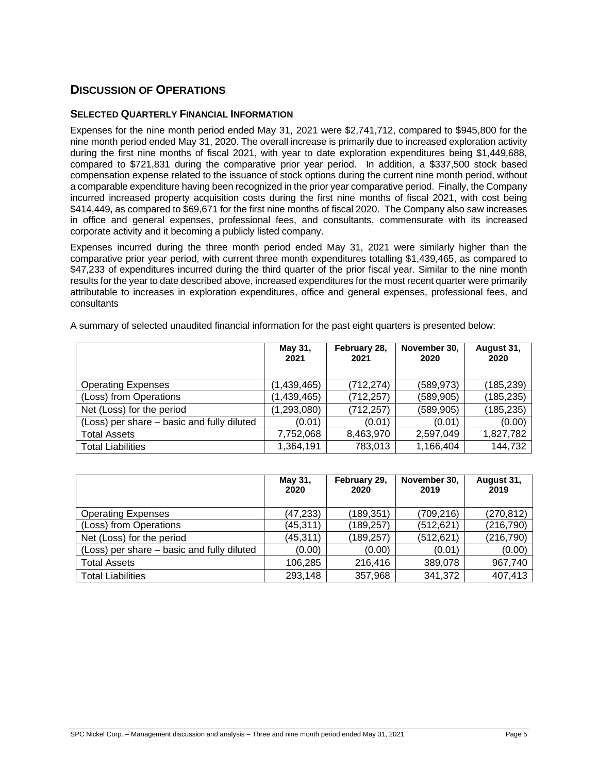### **DISCUSSION OF OPERATIONS**

#### **SELECTED QUARTERLY FINANCIAL INFORMATION**

Expenses for the nine month period ended May 31, 2021 were \$2,741,712, compared to \$945,800 for the nine month period ended May 31, 2020. The overall increase is primarily due to increased exploration activity during the first nine months of fiscal 2021, with year to date exploration expenditures being \$1,449,688, compared to \$721,831 during the comparative prior year period. In addition, a \$337,500 stock based compensation expense related to the issuance of stock options during the current nine month period, without a comparable expenditure having been recognized in the prior year comparative period. Finally, the Company incurred increased property acquisition costs during the first nine months of fiscal 2021, with cost being \$414,449, as compared to \$69,671 for the first nine months of fiscal 2020. The Company also saw increases in office and general expenses, professional fees, and consultants, commensurate with its increased corporate activity and it becoming a publicly listed company.

Expenses incurred during the three month period ended May 31, 2021 were similarly higher than the comparative prior year period, with current three month expenditures totalling \$1,439,465, as compared to \$47,233 of expenditures incurred during the third quarter of the prior fiscal year. Similar to the nine month results for the year to date described above, increased expenditures for the most recent quarter were primarily attributable to increases in exploration expenditures, office and general expenses, professional fees, and consultants

|                                            | May 31,<br>2021 | February 28,<br>2021 | November 30,<br>2020 | August 31,<br>2020 |
|--------------------------------------------|-----------------|----------------------|----------------------|--------------------|
| <b>Operating Expenses</b>                  | (1,439,465)     | (712, 274)           | (589, 973)           | (185, 239)         |
| (Loss) from Operations                     | (1,439,465)     | (712, 257)           | (589,905)            | (185, 235)         |
| Net (Loss) for the period                  | (1, 293, 080)   | (712, 257)           | (589, 905)           | (185, 235)         |
| (Loss) per share – basic and fully diluted | (0.01)          | (0.01)               | (0.01)               | (0.00)             |
| <b>Total Assets</b>                        | 7,752,068       | 8,463,970            | 2,597,049            | 1,827,782          |
| <b>Total Liabilities</b>                   | 1,364,191       | 783,013              | 1,166,404            | 144,732            |

A summary of selected unaudited financial information for the past eight quarters is presented below:

|                                            | May 31,<br>2020 | February 29,<br>2020 | November 30,<br>2019 | August 31,<br>2019 |
|--------------------------------------------|-----------------|----------------------|----------------------|--------------------|
| <b>Operating Expenses</b>                  | (47, 233)       | (189, 351)           | (709, 216)           | (270, 812)         |
| (Loss) from Operations                     | (45, 311)       | (189, 257)           | (512, 621)           | (216, 790)         |
| Net (Loss) for the period                  | (45, 311)       | (189, 257)           | (512, 621)           | (216, 790)         |
| (Loss) per share – basic and fully diluted | (0.00)          | (0.00)               | (0.01)               | (0.00)             |
| <b>Total Assets</b>                        | 106,285         | 216,416              | 389,078              | 967,740            |
| <b>Total Liabilities</b>                   | 293,148         | 357,968              | 341,372              | 407,413            |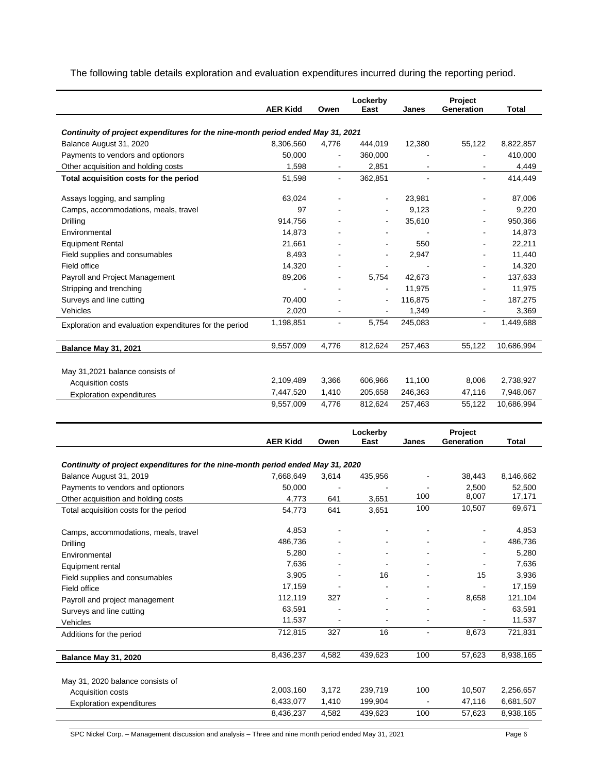The following table details exploration and evaluation expenditures incurred during the reporting period.

|                                                                                 | <b>AER Kidd</b>        | Owen           | Lockerby<br>East   | Janes          | Project<br>Generation | Total                  |  |
|---------------------------------------------------------------------------------|------------------------|----------------|--------------------|----------------|-----------------------|------------------------|--|
|                                                                                 |                        |                |                    |                |                       |                        |  |
| Continuity of project expenditures for the nine-month period ended May 31, 2021 |                        |                |                    |                |                       |                        |  |
| Balance August 31, 2020                                                         | 8,306,560              | 4,776          | 444,019            | 12,380         | 55,122                | 8,822,857              |  |
| Payments to vendors and optionors                                               | 50,000                 | $\blacksquare$ | 360,000            |                |                       | 410,000                |  |
| Other acquisition and holding costs                                             | 1,598                  |                | 2,851              |                |                       | 4,449                  |  |
| Total acquisition costs for the period                                          | 51,598                 | $\overline{a}$ | 362,851            |                |                       | 414,449                |  |
|                                                                                 |                        |                |                    |                |                       |                        |  |
| Assays logging, and sampling                                                    | 63,024                 | $\overline{a}$ | ÷,                 | 23,981         |                       | 87,006                 |  |
| Camps, accommodations, meals, travel                                            | 97                     |                |                    | 9,123          |                       | 9,220                  |  |
| Drilling                                                                        | 914,756                |                | $\blacksquare$     | 35,610         |                       | 950,366                |  |
| Environmental                                                                   | 14,873                 |                |                    |                |                       | 14,873                 |  |
| <b>Equipment Rental</b>                                                         | 21,661                 |                |                    | 550            |                       | 22,211                 |  |
| Field supplies and consumables                                                  | 8,493                  |                | $\blacksquare$     | 2,947          |                       | 11,440                 |  |
| Field office                                                                    | 14,320                 |                | $\blacksquare$     |                |                       | 14,320                 |  |
| Payroll and Project Management                                                  | 89,206                 |                | 5,754              | 42,673         |                       | 137,633                |  |
| Stripping and trenching                                                         |                        |                |                    | 11,975         |                       | 11,975                 |  |
| Surveys and line cutting                                                        | 70,400                 |                |                    | 116,875        |                       | 187,275                |  |
| Vehicles                                                                        | 2,020                  |                |                    | 1,349          |                       | 3,369                  |  |
| Exploration and evaluation expenditures for the period                          | 1,198,851              | ÷,             | 5,754              | 245,083        | $\blacksquare$        | 1,449,688              |  |
|                                                                                 | 9,557,009              | 4,776          | 812,624            | 257,463        | 55,122                | 10,686,994             |  |
| <b>Balance May 31, 2021</b>                                                     |                        |                |                    |                |                       |                        |  |
| May 31,2021 balance consists of                                                 |                        |                |                    |                |                       |                        |  |
| Acquisition costs                                                               | 2,109,489              | 3,366          | 606,966            | 11,100         | 8,006                 | 2,738,927              |  |
| <b>Exploration expenditures</b>                                                 | 7,447,520              | 1,410          | 205,658            | 246,363        | 47,116                | 7,948,067              |  |
|                                                                                 | 9,557,009              | 4,776          | 812,624            | 257,463        | 55,122                | 10,686,994             |  |
|                                                                                 |                        |                |                    |                |                       |                        |  |
|                                                                                 |                        |                | Lockerby           |                | Project               |                        |  |
|                                                                                 | <b>AER Kidd</b>        | Owen           | East               | Janes          | Generation            | Total                  |  |
|                                                                                 |                        |                |                    |                |                       |                        |  |
| Continuity of project expenditures for the nine-month period ended May 31, 2020 |                        |                |                    |                |                       |                        |  |
| Balance August 31, 2019                                                         | 7,668,649              | 3,614          | 435,956            |                | 38,443                | 8,146,662              |  |
| Payments to vendors and optionors                                               | 50,000                 | $\overline{a}$ |                    | 100            | 2,500<br>8,007        | 52,500<br>17,171       |  |
| Other acquisition and holding costs                                             | 4,773                  | 641            | 3,651              | 100            | 10,507                | 69,671                 |  |
| Total acquisition costs for the period                                          | 54,773                 | 641            | 3,651              |                |                       |                        |  |
| Camps, accommodations, meals, travel                                            | 4,853                  |                |                    |                |                       | 4,853                  |  |
| Drilling                                                                        | 486,736                |                |                    |                |                       | 486,736                |  |
| Environmental                                                                   | 5,280                  |                |                    |                |                       | 5,280                  |  |
| Equipment rental                                                                | 7,636                  |                |                    |                |                       | 7,636                  |  |
| Field supplies and consumables                                                  | 3,905                  |                | 16                 |                | 15                    | 3,936                  |  |
| Field office                                                                    | 17,159                 |                |                    |                |                       | 17,159                 |  |
| Payroll and project management                                                  | 112,119                | 327            |                    |                | 8,658                 | 121,104                |  |
| Surveys and line cutting                                                        | 63,591                 |                |                    | $\blacksquare$ |                       | 63,591                 |  |
| Vehicles                                                                        | 11,537                 |                |                    | ä,             |                       | 11,537                 |  |
| Additions for the period                                                        | 712,815                | 327            | 16                 | $\blacksquare$ | 8,673                 | 721,831                |  |
|                                                                                 |                        |                |                    |                |                       |                        |  |
| <b>Balance May 31, 2020</b>                                                     | 8,436,237              | 4,582          | 439,623            | 100            | 57,623                | 8,938,165              |  |
|                                                                                 |                        |                |                    |                |                       |                        |  |
| May 31, 2020 balance consists of                                                |                        |                |                    | 100            |                       |                        |  |
| Acquisition costs                                                               | 2,003,160<br>6,433,077 | 3,172<br>1,410 | 239,719<br>199,904 |                | 10,507<br>47,116      | 2,256,657<br>6,681,507 |  |
| <b>Exploration expenditures</b>                                                 | 8,436,237              | 4,582          | 439,623            | 100            | 57,623                | 8,938,165              |  |
|                                                                                 |                        |                |                    |                |                       |                        |  |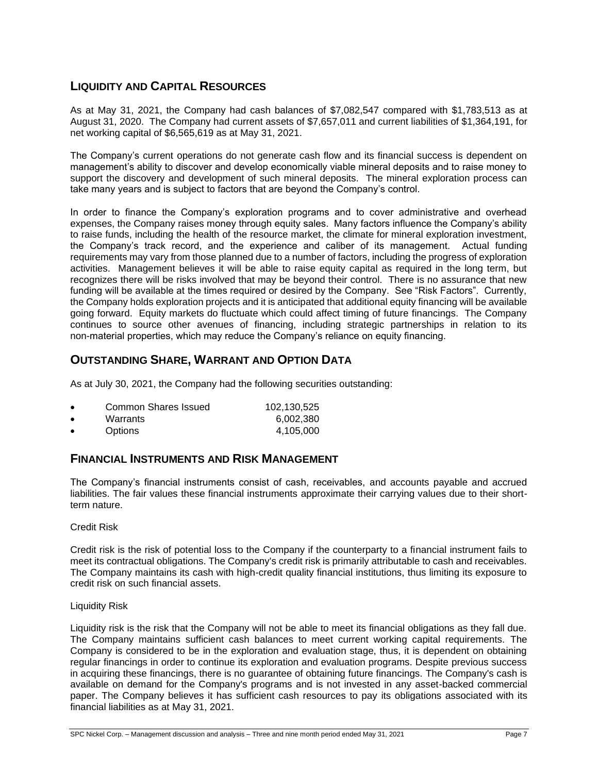### **LIQUIDITY AND CAPITAL RESOURCES**

As at May 31, 2021, the Company had cash balances of \$7,082,547 compared with \$1,783,513 as at August 31, 2020. The Company had current assets of \$7,657,011 and current liabilities of \$1,364,191, for net working capital of \$6,565,619 as at May 31, 2021.

The Company's current operations do not generate cash flow and its financial success is dependent on management's ability to discover and develop economically viable mineral deposits and to raise money to support the discovery and development of such mineral deposits. The mineral exploration process can take many years and is subject to factors that are beyond the Company's control.

In order to finance the Company's exploration programs and to cover administrative and overhead expenses, the Company raises money through equity sales. Many factors influence the Company's ability to raise funds, including the health of the resource market, the climate for mineral exploration investment, the Company's track record, and the experience and caliber of its management. Actual funding requirements may vary from those planned due to a number of factors, including the progress of exploration activities. Management believes it will be able to raise equity capital as required in the long term, but recognizes there will be risks involved that may be beyond their control. There is no assurance that new funding will be available at the times required or desired by the Company. See "Risk Factors". Currently, the Company holds exploration projects and it is anticipated that additional equity financing will be available going forward. Equity markets do fluctuate which could affect timing of future financings. The Company continues to source other avenues of financing, including strategic partnerships in relation to its non-material properties, which may reduce the Company's reliance on equity financing.

### **OUTSTANDING SHARE, WARRANT AND OPTION DATA**

As at July 30, 2021, the Company had the following securities outstanding:

| <b>Common Shares Issued</b> | 102.130.525 |
|-----------------------------|-------------|
| Warrants                    | 6.002.380   |
| <b>Options</b>              | 4,105,000   |

### **FINANCIAL INSTRUMENTS AND RISK MANAGEMENT**

The Company's financial instruments consist of cash, receivables, and accounts payable and accrued liabilities. The fair values these financial instruments approximate their carrying values due to their shortterm nature.

#### Credit Risk

Credit risk is the risk of potential loss to the Company if the counterparty to a financial instrument fails to meet its contractual obligations. The Company's credit risk is primarily attributable to cash and receivables. The Company maintains its cash with high-credit quality financial institutions, thus limiting its exposure to credit risk on such financial assets.

#### Liquidity Risk

Liquidity risk is the risk that the Company will not be able to meet its financial obligations as they fall due. The Company maintains sufficient cash balances to meet current working capital requirements. The Company is considered to be in the exploration and evaluation stage, thus, it is dependent on obtaining regular financings in order to continue its exploration and evaluation programs. Despite previous success in acquiring these financings, there is no guarantee of obtaining future financings. The Company's cash is available on demand for the Company's programs and is not invested in any asset-backed commercial paper. The Company believes it has sufficient cash resources to pay its obligations associated with its financial liabilities as at May 31, 2021.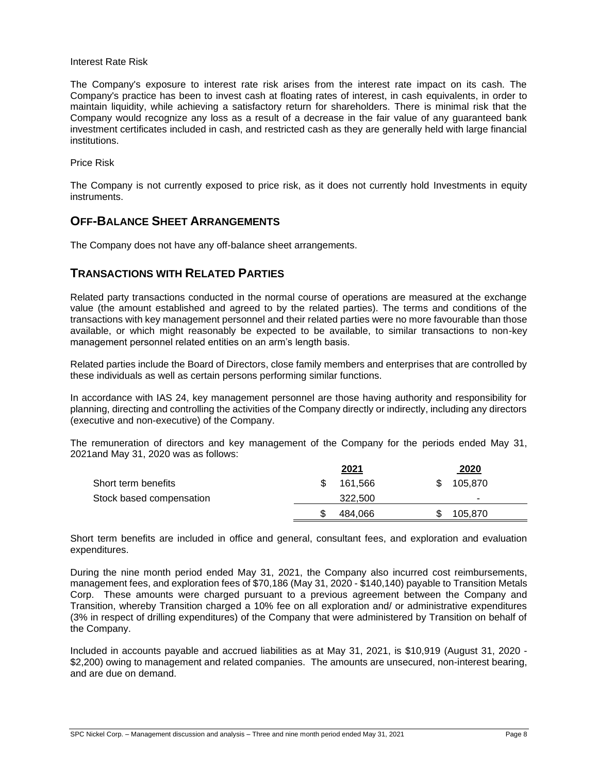#### Interest Rate Risk

The Company's exposure to interest rate risk arises from the interest rate impact on its cash. The Company's practice has been to invest cash at floating rates of interest, in cash equivalents, in order to maintain liquidity, while achieving a satisfactory return for shareholders. There is minimal risk that the Company would recognize any loss as a result of a decrease in the fair value of any guaranteed bank investment certificates included in cash, and restricted cash as they are generally held with large financial institutions.

Price Risk

The Company is not currently exposed to price risk, as it does not currently hold Investments in equity instruments.

### **OFF-BALANCE SHEET ARRANGEMENTS**

The Company does not have any off-balance sheet arrangements.

### **TRANSACTIONS WITH RELATED PARTIES**

Related party transactions conducted in the normal course of operations are measured at the exchange value (the amount established and agreed to by the related parties). The terms and conditions of the transactions with key management personnel and their related parties were no more favourable than those available, or which might reasonably be expected to be available, to similar transactions to non-key management personnel related entities on an arm's length basis.

Related parties include the Board of Directors, close family members and enterprises that are controlled by these individuals as well as certain persons performing similar functions.

In accordance with IAS 24, key management personnel are those having authority and responsibility for planning, directing and controlling the activities of the Company directly or indirectly, including any directors (executive and non-executive) of the Company.

The remuneration of directors and key management of the Company for the periods ended May 31, 2021and May 31, 2020 was as follows:

|                          | <u>2021</u> | <u> 2020</u>             |  |
|--------------------------|-------------|--------------------------|--|
| Short term benefits      | 161.566     | 105,870                  |  |
| Stock based compensation | 322,500     | $\overline{\phantom{a}}$ |  |
|                          | 484.066     | 105.870                  |  |

Short term benefits are included in office and general, consultant fees, and exploration and evaluation expenditures.

During the nine month period ended May 31, 2021, the Company also incurred cost reimbursements, management fees, and exploration fees of \$70,186 (May 31, 2020 - \$140,140) payable to Transition Metals Corp. These amounts were charged pursuant to a previous agreement between the Company and Transition, whereby Transition charged a 10% fee on all exploration and/ or administrative expenditures (3% in respect of drilling expenditures) of the Company that were administered by Transition on behalf of the Company.

Included in accounts payable and accrued liabilities as at May 31, 2021, is \$10,919 (August 31, 2020 - \$2,200) owing to management and related companies. The amounts are unsecured, non-interest bearing, and are due on demand.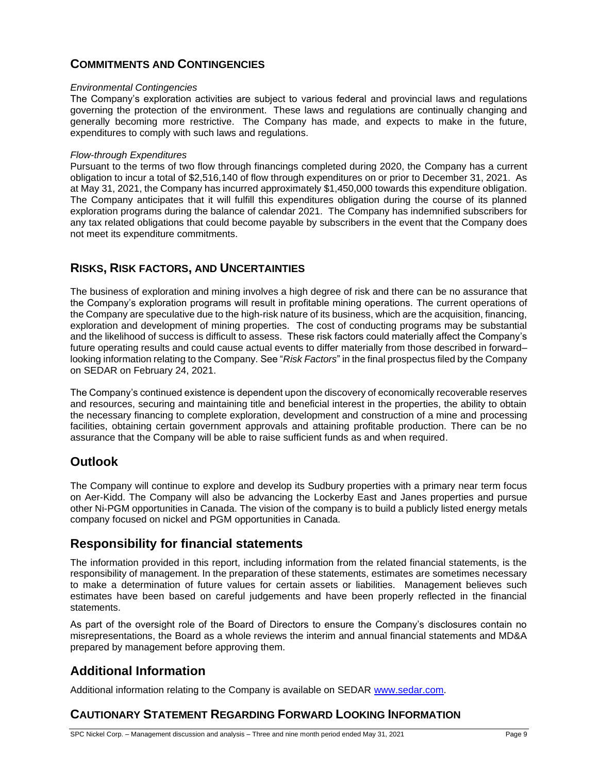# **COMMITMENTS AND CONTINGENCIES**

#### *Environmental Contingencies*

The Company's exploration activities are subject to various federal and provincial laws and regulations governing the protection of the environment. These laws and regulations are continually changing and generally becoming more restrictive. The Company has made, and expects to make in the future, expenditures to comply with such laws and regulations.

#### *Flow-through Expenditures*

Pursuant to the terms of two flow through financings completed during 2020, the Company has a current obligation to incur a total of \$2,516,140 of flow through expenditures on or prior to December 31, 2021. As at May 31, 2021, the Company has incurred approximately \$1,450,000 towards this expenditure obligation. The Company anticipates that it will fulfill this expenditures obligation during the course of its planned exploration programs during the balance of calendar 2021. The Company has indemnified subscribers for any tax related obligations that could become payable by subscribers in the event that the Company does not meet its expenditure commitments.

### **RISKS, RISK FACTORS, AND UNCERTAINTIES**

The business of exploration and mining involves a high degree of risk and there can be no assurance that the Company's exploration programs will result in profitable mining operations. The current operations of the Company are speculative due to the high-risk nature of its business, which are the acquisition, financing, exploration and development of mining properties. The cost of conducting programs may be substantial and the likelihood of success is difficult to assess. These risk factors could materially affect the Company's future operating results and could cause actual events to differ materially from those described in forward– looking information relating to the Company. See "*Risk Factors*" in the final prospectus filed by the Company on SEDAR on February 24, 2021.

The Company's continued existence is dependent upon the discovery of economically recoverable reserves and resources, securing and maintaining title and beneficial interest in the properties, the ability to obtain the necessary financing to complete exploration, development and construction of a mine and processing facilities, obtaining certain government approvals and attaining profitable production. There can be no assurance that the Company will be able to raise sufficient funds as and when required.

### **Outlook**

The Company will continue to explore and develop its Sudbury properties with a primary near term focus on Aer-Kidd. The Company will also be advancing the Lockerby East and Janes properties and pursue other Ni-PGM opportunities in Canada. The vision of the company is to build a publicly listed energy metals company focused on nickel and PGM opportunities in Canada.

### **Responsibility for financial statements**

The information provided in this report, including information from the related financial statements, is the responsibility of management. In the preparation of these statements, estimates are sometimes necessary to make a determination of future values for certain assets or liabilities. Management believes such estimates have been based on careful judgements and have been properly reflected in the financial statements.

As part of the oversight role of the Board of Directors to ensure the Company's disclosures contain no misrepresentations, the Board as a whole reviews the interim and annual financial statements and MD&A prepared by management before approving them.

# **Additional Information**

Additional information relating to the Company is available on SEDAR [www.sedar.com.](http://www.sedar.com/)

### **CAUTIONARY STATEMENT REGARDING FORWARD LOOKING INFORMATION**